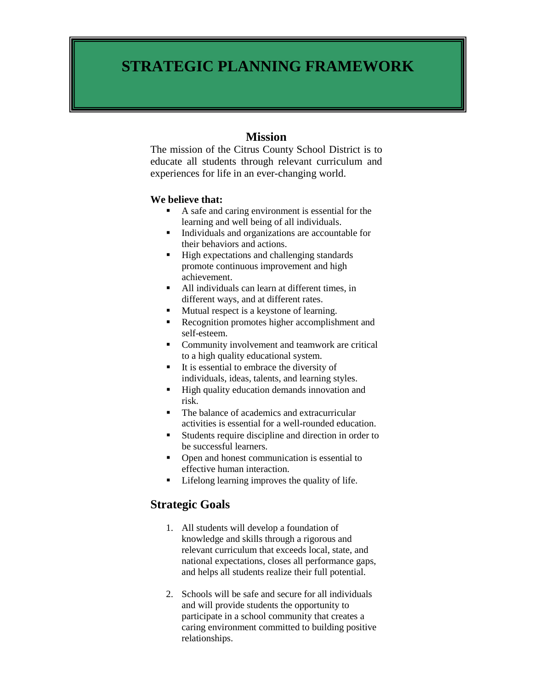# **STRATEGIC PLANNING FRAMEWORK**

# **Mission**

The mission of the Citrus County School District is to educate all students through relevant curriculum and experiences for life in an ever-changing world.

#### **We believe that:**

- A safe and caring environment is essential for the learning and well being of all individuals.
- Individuals and organizations are accountable for their behaviors and actions.
- High expectations and challenging standards promote continuous improvement and high achievement.
- All individuals can learn at different times, in different ways, and at different rates.
- Mutual respect is a keystone of learning.
- Recognition promotes higher accomplishment and self-esteem.
- **•** Community involvement and teamwork are critical to a high quality educational system.
- $\blacksquare$  It is essential to embrace the diversity of individuals, ideas, talents, and learning styles.
- $\blacksquare$  High quality education demands innovation and risk.
- The balance of academics and extracurricular activities is essential for a well-rounded education.
- Students require discipline and direction in order to be successful learners.
- Open and honest communication is essential to effective human interaction.
- Lifelong learning improves the quality of life.

# **Strategic Goals**

- 1. All students will develop a foundation of knowledge and skills through a rigorous and relevant curriculum that exceeds local, state, and national expectations, closes all performance gaps, and helps all students realize their full potential.
- 2. Schools will be safe and secure for all individuals and will provide students the opportunity to participate in a school community that creates a caring environment committed to building positive relationships.